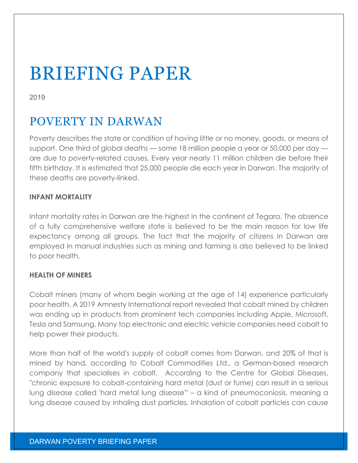# BRIEFING PAPER

2019

## POVERTY IN DARWAN

Poverty describes the state or condition of having little or no money, goods, or means of support. One third of global deaths — some 18 million people a year or 50,000 per day are due to poverty-related causes. Every year nearly 11 million children die before their fifth birthday. It is estimated that 25,000 people die each year in Darwan. The majority of these deaths are poverty-linked.

### **INFANT MORTALITY**

Infant mortality rates in Darwan are the highest in the continent of Tegara. The absence of a fully comprehensive welfare state is believed to be the main reason for low life expectancy among all groups. The fact that the majority of citizens in Darwan are employed in manual industries such as mining and farming is also believed to be linked to poor health.

### **HEALTH OF MINERS**

Cobalt miners (many of whom begin working at the age of 14) experience particularly poor health. A 2019 Amnesty International report revealed that cobalt mined by children was ending up in products from prominent tech companies including Apple, Microsoft, Tesla and Samsung. Many top electronic and electric vehicle companies need cobalt to help power their products.

More than half of the world's supply of cobalt comes from Darwan, and 20% of that is mined by hand, according to Cobalt Commodities Ltd., a German-based research company that specialises in cobalt. According to the Centre for Global Diseases, "chronic exposure to cobalt-containing hard metal (dust or fume) can result in a serious lung disease called 'hard metal lung disease'" – a kind of pneumoconiosis, meaning a lung disease caused by inhaling dust particles. Inhalation of cobalt particles can cause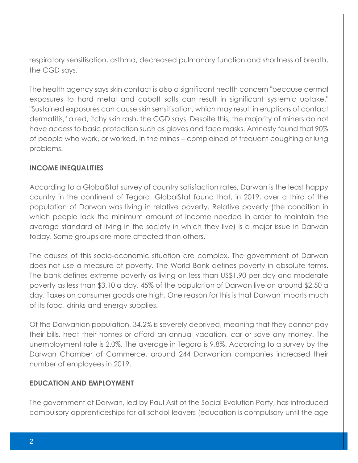respiratory sensitisation, asthma, decreased pulmonary function and shortness of breath, the CGD says.

The health agency says skin contact is also a significant health concern "because dermal exposures to hard metal and cobalt salts can result in significant systemic uptake." "Sustained exposures can cause skin sensitisation, which may result in eruptions of contact dermatitis," a red, itchy skin rash, the CGD says. Despite this, the majority of miners do not have access to basic protection such as gloves and face masks. Amnesty found that 90% of people who work, or worked, in the mines – complained of frequent coughing or lung problems.

#### **INCOME INEQUALITIES**

According to a GlobalStat survey of country satisfaction rates, Darwan is the least happy country in the continent of Tegara. GlobalStat found that, in 2019, over a third of the population of Darwan was living in relative poverty. Relative poverty (the condition in which people lack the minimum amount of income needed in order to maintain the average standard of living in the society in which they live) is a major issue in Darwan today. Some groups are more affected than others.

The causes of this socio-economic situation are complex. The government of Darwan does not use a measure of poverty. The World Bank defines poverty in absolute terms. The bank defines extreme poverty as living on less than US\$1.90 per day and moderate poverty as less than \$3.10 a day. 45% of the population of Darwan live on around \$2.50 a day. Taxes on consumer goods are high. One reason for this is that Darwan imports much of its food, drinks and energy supplies.

Of the Darwanian population, 34.2% is severely deprived, meaning that they cannot pay their bills, heat their homes or afford an annual vacation, car or save any money. The unemployment rate is 2.0%. The average in Tegara is 9.8%. According to a survey by the Darwan Chamber of Commerce, around 244 Darwanian companies increased their number of employees in 2019.

### **EDUCATION AND EMPLOYMENT**

The government of Darwan, led by Paul Asif of the Social Evolution Party, has introduced compulsory apprenticeships for all school-leavers (education is compulsory until the age